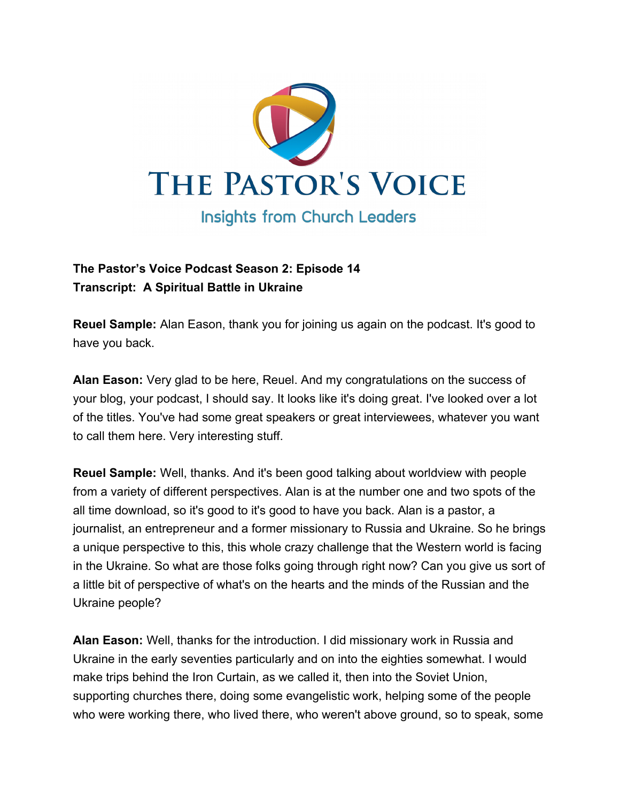

## **The Pastor's Voice Podcast Season 2: Episode 14 Transcript: A Spiritual Battle in Ukraine**

**Reuel Sample:** Alan Eason, thank you for joining us again on the podcast. It's good to have you back.

**Alan Eason:** Very glad to be here, Reuel. And my congratulations on the success of your blog, your podcast, I should say. It looks like it's doing great. I've looked over a lot of the titles. You've had some great speakers or great interviewees, whatever you want to call them here. Very interesting stuff.

**Reuel Sample:** Well, thanks. And it's been good talking about worldview with people from a variety of different perspectives. Alan is at the number one and two spots of the all time download, so it's good to it's good to have you back. Alan is a pastor, a journalist, an entrepreneur and a former missionary to Russia and Ukraine. So he brings a unique perspective to this, this whole crazy challenge that the Western world is facing in the Ukraine. So what are those folks going through right now? Can you give us sort of a little bit of perspective of what's on the hearts and the minds of the Russian and the Ukraine people?

**Alan Eason:** Well, thanks for the introduction. I did missionary work in Russia and Ukraine in the early seventies particularly and on into the eighties somewhat. I would make trips behind the Iron Curtain, as we called it, then into the Soviet Union, supporting churches there, doing some evangelistic work, helping some of the people who were working there, who lived there, who weren't above ground, so to speak, some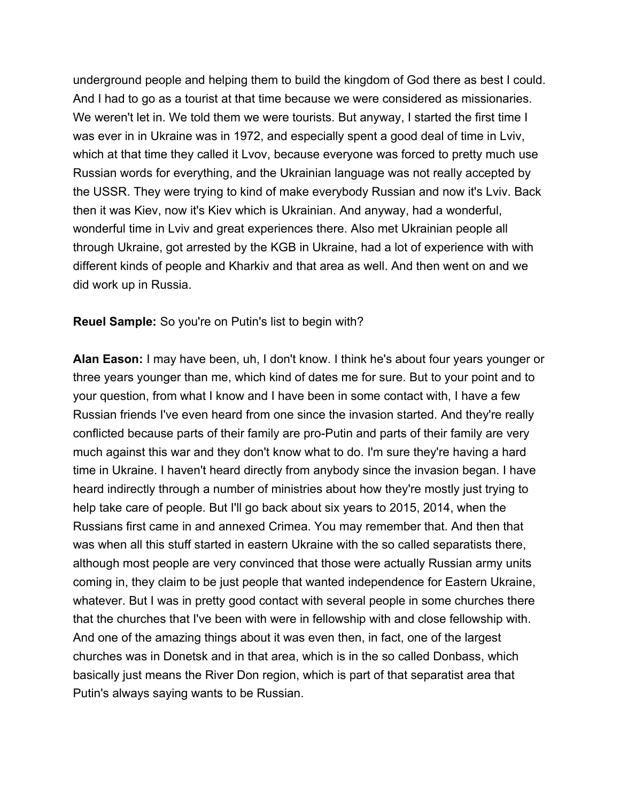underground people and helping them to build the kingdom of God there as best I could. And I had to go as a tourist at that time because we were considered as missionaries. We weren't let in. We told them we were tourists. But anyway, I started the first time I was ever in in Ukraine was in 1972, and especially spent a good deal of time in Lviv, which at that time they called it Lvov, because everyone was forced to pretty much use Russian words for everything, and the Ukrainian language was not really accepted by the USSR. They were trying to kind of make everybody Russian and now it's Lviv. Back then it was Kiev, now it's Kiev which is Ukrainian. And anyway, had a wonderful, wonderful time in Lviv and great experiences there. Also met Ukrainian people all through Ukraine, got arrested by the KGB in Ukraine, had a lot of experience with with different kinds of people and Kharkiv and that area as well. And then went on and we did work up in Russia.

**Reuel Sample:** So you're on Putin's list to begin with?

**Alan Eason:** I may have been, uh, I don't know. I think he's about four years younger or three years younger than me, which kind of dates me for sure. But to your point and to your question, from what I know and I have been in some contact with, I have a few Russian friends I've even heard from one since the invasion started. And they're really conflicted because parts of their family are pro-Putin and parts of their family are very much against this war and they don't know what to do. I'm sure they're having a hard time in Ukraine. I haven't heard directly from anybody since the invasion began. I have heard indirectly through a number of ministries about how they're mostly just trying to help take care of people. But I'll go back about six years to 2015, 2014, when the Russians first came in and annexed Crimea. You may remember that. And then that was when all this stuff started in eastern Ukraine with the so called separatists there, although most people are very convinced that those were actually Russian army units coming in, they claim to be just people that wanted independence for Eastern Ukraine, whatever. But I was in pretty good contact with several people in some churches there that the churches that I've been with were in fellowship with and close fellowship with. And one of the amazing things about it was even then, in fact, one of the largest churches was in Donetsk and in that area, which is in the so called Donbass, which basically just means the River Don region, which is part of that separatist area that Putin's always saying wants to be Russian.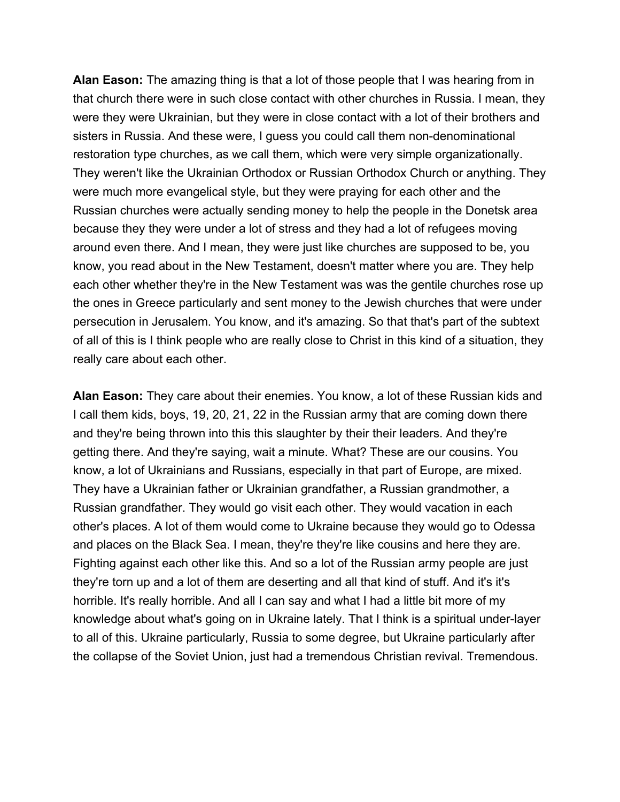**Alan Eason:** The amazing thing is that a lot of those people that I was hearing from in that church there were in such close contact with other churches in Russia. I mean, they were they were Ukrainian, but they were in close contact with a lot of their brothers and sisters in Russia. And these were, I guess you could call them non-denominational restoration type churches, as we call them, which were very simple organizationally. They weren't like the Ukrainian Orthodox or Russian Orthodox Church or anything. They were much more evangelical style, but they were praying for each other and the Russian churches were actually sending money to help the people in the Donetsk area because they they were under a lot of stress and they had a lot of refugees moving around even there. And I mean, they were just like churches are supposed to be, you know, you read about in the New Testament, doesn't matter where you are. They help each other whether they're in the New Testament was was the gentile churches rose up the ones in Greece particularly and sent money to the Jewish churches that were under persecution in Jerusalem. You know, and it's amazing. So that that's part of the subtext of all of this is I think people who are really close to Christ in this kind of a situation, they really care about each other.

**Alan Eason:** They care about their enemies. You know, a lot of these Russian kids and I call them kids, boys, 19, 20, 21, 22 in the Russian army that are coming down there and they're being thrown into this this slaughter by their their leaders. And they're getting there. And they're saying, wait a minute. What? These are our cousins. You know, a lot of Ukrainians and Russians, especially in that part of Europe, are mixed. They have a Ukrainian father or Ukrainian grandfather, a Russian grandmother, a Russian grandfather. They would go visit each other. They would vacation in each other's places. A lot of them would come to Ukraine because they would go to Odessa and places on the Black Sea. I mean, they're they're like cousins and here they are. Fighting against each other like this. And so a lot of the Russian army people are just they're torn up and a lot of them are deserting and all that kind of stuff. And it's it's horrible. It's really horrible. And all I can say and what I had a little bit more of my knowledge about what's going on in Ukraine lately. That I think is a spiritual under-layer to all of this. Ukraine particularly, Russia to some degree, but Ukraine particularly after the collapse of the Soviet Union, just had a tremendous Christian revival. Tremendous.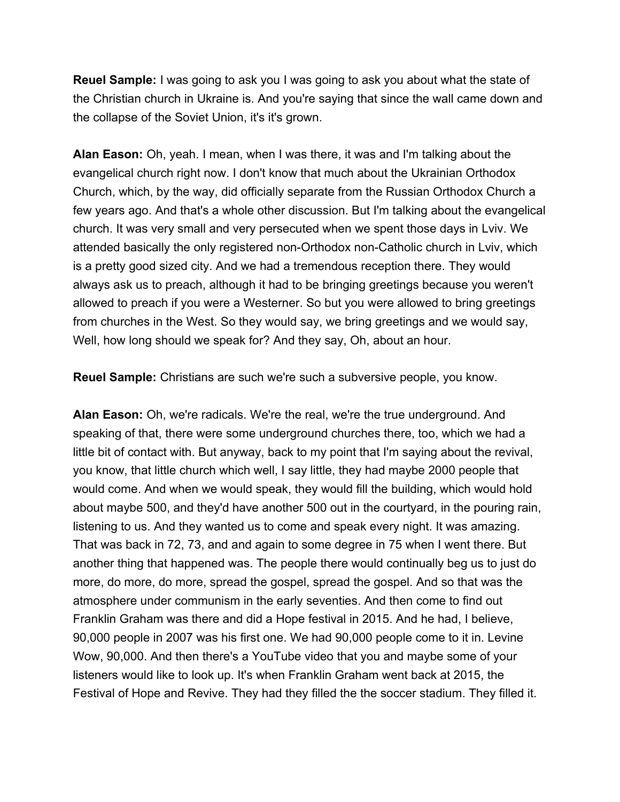**Reuel Sample:** I was going to ask you I was going to ask you about what the state of the Christian church in Ukraine is. And you're saying that since the wall came down and the collapse of the Soviet Union, it's it's grown.

**Alan Eason:** Oh, yeah. I mean, when I was there, it was and I'm talking about the evangelical church right now. I don't know that much about the Ukrainian Orthodox Church, which, by the way, did officially separate from the Russian Orthodox Church a few years ago. And that's a whole other discussion. But I'm talking about the evangelical church. It was very small and very persecuted when we spent those days in Lviv. We attended basically the only registered non-Orthodox non-Catholic church in Lviv, which is a pretty good sized city. And we had a tremendous reception there. They would always ask us to preach, although it had to be bringing greetings because you weren't allowed to preach if you were a Westerner. So but you were allowed to bring greetings from churches in the West. So they would say, we bring greetings and we would say, Well, how long should we speak for? And they say, Oh, about an hour.

**Reuel Sample:** Christians are such we're such a subversive people, you know.

**Alan Eason:** Oh, we're radicals. We're the real, we're the true underground. And speaking of that, there were some underground churches there, too, which we had a little bit of contact with. But anyway, back to my point that I'm saying about the revival, you know, that little church which well, I say little, they had maybe 2000 people that would come. And when we would speak, they would fill the building, which would hold about maybe 500, and they'd have another 500 out in the courtyard, in the pouring rain, listening to us. And they wanted us to come and speak every night. It was amazing. That was back in 72, 73, and and again to some degree in 75 when I went there. But another thing that happened was. The people there would continually beg us to just do more, do more, do more, spread the gospel, spread the gospel. And so that was the atmosphere under communism in the early seventies. And then come to find out Franklin Graham was there and did a Hope festival in 2015. And he had, I believe, 90,000 people in 2007 was his first one. We had 90,000 people come to it in. Levine Wow, 90,000. And then there's a YouTube video that you and maybe some of your listeners would like to look up. It's when Franklin Graham went back at 2015, the Festival of Hope and Revive. They had they filled the the soccer stadium. They filled it.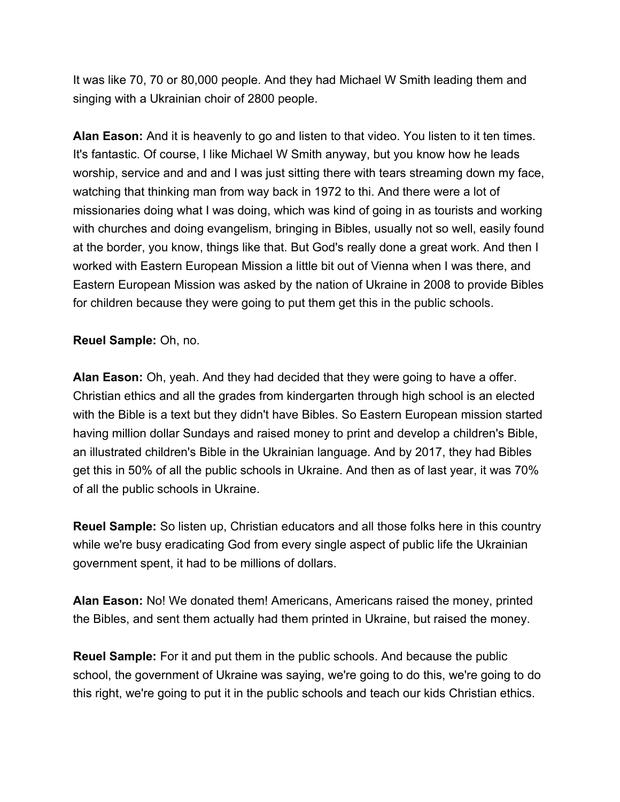It was like 70, 70 or 80,000 people. And they had Michael W Smith leading them and singing with a Ukrainian choir of 2800 people.

**Alan Eason:** And it is heavenly to go and listen to that video. You listen to it ten times. It's fantastic. Of course, I like Michael W Smith anyway, but you know how he leads worship, service and and and I was just sitting there with tears streaming down my face, watching that thinking man from way back in 1972 to thi. And there were a lot of missionaries doing what I was doing, which was kind of going in as tourists and working with churches and doing evangelism, bringing in Bibles, usually not so well, easily found at the border, you know, things like that. But God's really done a great work. And then I worked with Eastern European Mission a little bit out of Vienna when I was there, and Eastern European Mission was asked by the nation of Ukraine in 2008 to provide Bibles for children because they were going to put them get this in the public schools.

**Reuel Sample:** Oh, no.

**Alan Eason:** Oh, yeah. And they had decided that they were going to have a offer. Christian ethics and all the grades from kindergarten through high school is an elected with the Bible is a text but they didn't have Bibles. So Eastern European mission started having million dollar Sundays and raised money to print and develop a children's Bible, an illustrated children's Bible in the Ukrainian language. And by 2017, they had Bibles get this in 50% of all the public schools in Ukraine. And then as of last year, it was 70% of all the public schools in Ukraine.

**Reuel Sample:** So listen up, Christian educators and all those folks here in this country while we're busy eradicating God from every single aspect of public life the Ukrainian government spent, it had to be millions of dollars.

**Alan Eason:** No! We donated them! Americans, Americans raised the money, printed the Bibles, and sent them actually had them printed in Ukraine, but raised the money.

**Reuel Sample:** For it and put them in the public schools. And because the public school, the government of Ukraine was saying, we're going to do this, we're going to do this right, we're going to put it in the public schools and teach our kids Christian ethics.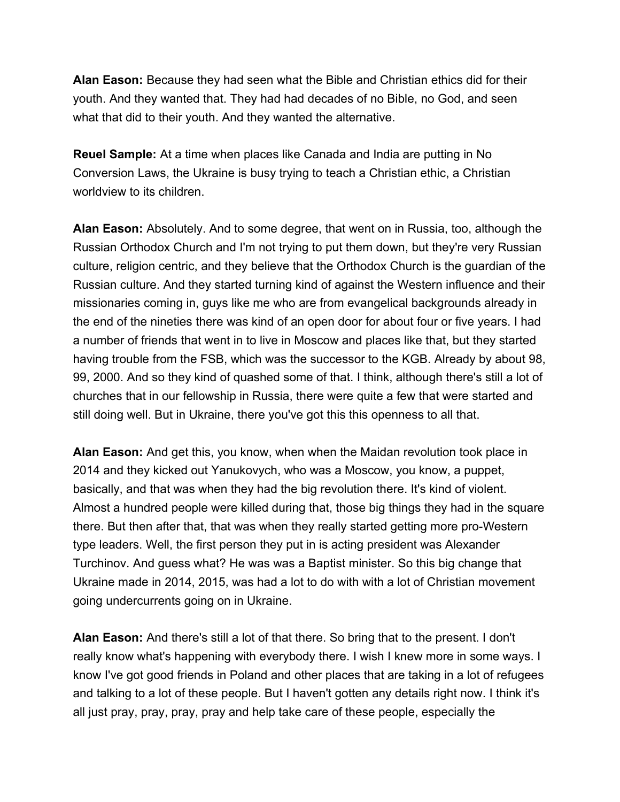**Alan Eason:** Because they had seen what the Bible and Christian ethics did for their youth. And they wanted that. They had had decades of no Bible, no God, and seen what that did to their youth. And they wanted the alternative.

**Reuel Sample:** At a time when places like Canada and India are putting in No Conversion Laws, the Ukraine is busy trying to teach a Christian ethic, a Christian worldview to its children.

**Alan Eason:** Absolutely. And to some degree, that went on in Russia, too, although the Russian Orthodox Church and I'm not trying to put them down, but they're very Russian culture, religion centric, and they believe that the Orthodox Church is the guardian of the Russian culture. And they started turning kind of against the Western influence and their missionaries coming in, guys like me who are from evangelical backgrounds already in the end of the nineties there was kind of an open door for about four or five years. I had a number of friends that went in to live in Moscow and places like that, but they started having trouble from the FSB, which was the successor to the KGB. Already by about 98, 99, 2000. And so they kind of quashed some of that. I think, although there's still a lot of churches that in our fellowship in Russia, there were quite a few that were started and still doing well. But in Ukraine, there you've got this this openness to all that.

**Alan Eason:** And get this, you know, when when the Maidan revolution took place in 2014 and they kicked out Yanukovych, who was a Moscow, you know, a puppet, basically, and that was when they had the big revolution there. It's kind of violent. Almost a hundred people were killed during that, those big things they had in the square there. But then after that, that was when they really started getting more pro-Western type leaders. Well, the first person they put in is acting president was Alexander Turchinov. And guess what? He was was a Baptist minister. So this big change that Ukraine made in 2014, 2015, was had a lot to do with with a lot of Christian movement going undercurrents going on in Ukraine.

**Alan Eason:** And there's still a lot of that there. So bring that to the present. I don't really know what's happening with everybody there. I wish I knew more in some ways. I know I've got good friends in Poland and other places that are taking in a lot of refugees and talking to a lot of these people. But I haven't gotten any details right now. I think it's all just pray, pray, pray, pray and help take care of these people, especially the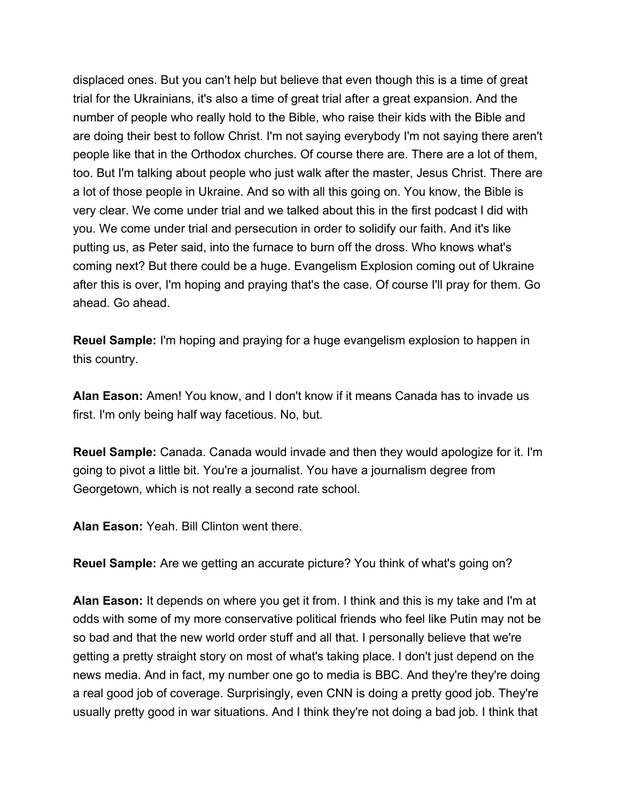displaced ones. But you can't help but believe that even though this is a time of great trial for the Ukrainians, it's also a time of great trial after a great expansion. And the number of people who really hold to the Bible, who raise their kids with the Bible and are doing their best to follow Christ. I'm not saying everybody I'm not saying there aren't people like that in the Orthodox churches. Of course there are. There are a lot of them, too. But I'm talking about people who just walk after the master, Jesus Christ. There are a lot of those people in Ukraine. And so with all this going on. You know, the Bible is very clear. We come under trial and we talked about this in the first podcast I did with you. We come under trial and persecution in order to solidify our faith. And it's like putting us, as Peter said, into the furnace to burn off the dross. Who knows what's coming next? But there could be a huge. Evangelism Explosion coming out of Ukraine after this is over, I'm hoping and praying that's the case. Of course I'll pray for them. Go ahead. Go ahead.

**Reuel Sample:** I'm hoping and praying for a huge evangelism explosion to happen in this country.

**Alan Eason:** Amen! You know, and I don't know if it means Canada has to invade us first. I'm only being half way facetious. No, but.

**Reuel Sample:** Canada. Canada would invade and then they would apologize for it. I'm going to pivot a little bit. You're a journalist. You have a journalism degree from Georgetown, which is not really a second rate school.

**Alan Eason:** Yeah. Bill Clinton went there.

**Reuel Sample:** Are we getting an accurate picture? You think of what's going on?

**Alan Eason:** It depends on where you get it from. I think and this is my take and I'm at odds with some of my more conservative political friends who feel like Putin may not be so bad and that the new world order stuff and all that. I personally believe that we're getting a pretty straight story on most of what's taking place. I don't just depend on the news media. And in fact, my number one go to media is BBC. And they're they're doing a real good job of coverage. Surprisingly, even CNN is doing a pretty good job. They're usually pretty good in war situations. And I think they're not doing a bad job. I think that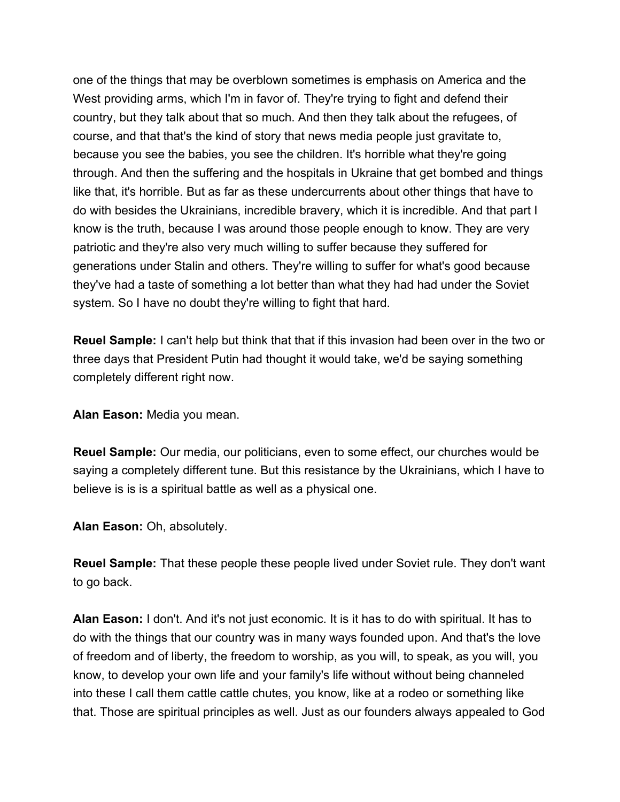one of the things that may be overblown sometimes is emphasis on America and the West providing arms, which I'm in favor of. They're trying to fight and defend their country, but they talk about that so much. And then they talk about the refugees, of course, and that that's the kind of story that news media people just gravitate to, because you see the babies, you see the children. It's horrible what they're going through. And then the suffering and the hospitals in Ukraine that get bombed and things like that, it's horrible. But as far as these undercurrents about other things that have to do with besides the Ukrainians, incredible bravery, which it is incredible. And that part I know is the truth, because I was around those people enough to know. They are very patriotic and they're also very much willing to suffer because they suffered for generations under Stalin and others. They're willing to suffer for what's good because they've had a taste of something a lot better than what they had had under the Soviet system. So I have no doubt they're willing to fight that hard.

**Reuel Sample:** I can't help but think that that if this invasion had been over in the two or three days that President Putin had thought it would take, we'd be saying something completely different right now.

**Alan Eason:** Media you mean.

**Reuel Sample:** Our media, our politicians, even to some effect, our churches would be saying a completely different tune. But this resistance by the Ukrainians, which I have to believe is is is a spiritual battle as well as a physical one.

**Alan Eason:** Oh, absolutely.

**Reuel Sample:** That these people these people lived under Soviet rule. They don't want to go back.

**Alan Eason:** I don't. And it's not just economic. It is it has to do with spiritual. It has to do with the things that our country was in many ways founded upon. And that's the love of freedom and of liberty, the freedom to worship, as you will, to speak, as you will, you know, to develop your own life and your family's life without without being channeled into these I call them cattle cattle chutes, you know, like at a rodeo or something like that. Those are spiritual principles as well. Just as our founders always appealed to God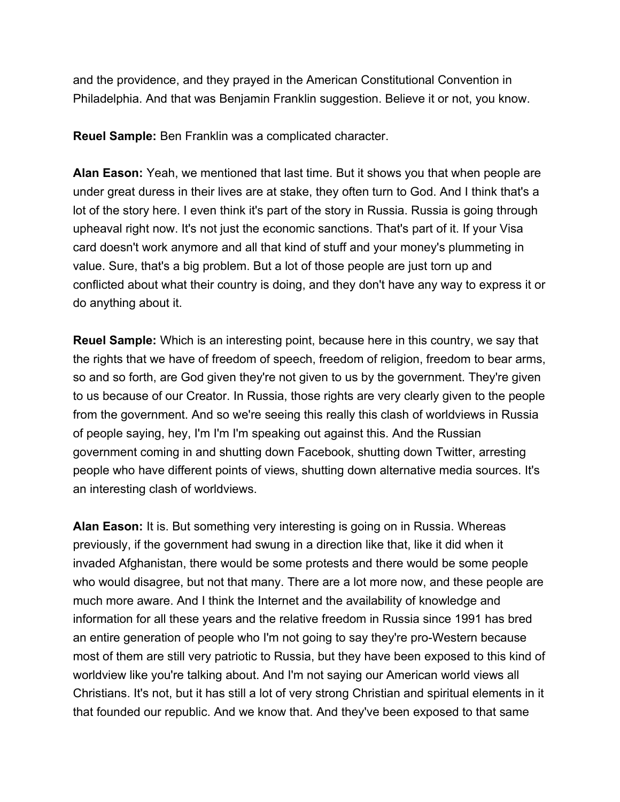and the providence, and they prayed in the American Constitutional Convention in Philadelphia. And that was Benjamin Franklin suggestion. Believe it or not, you know.

**Reuel Sample:** Ben Franklin was a complicated character.

**Alan Eason:** Yeah, we mentioned that last time. But it shows you that when people are under great duress in their lives are at stake, they often turn to God. And I think that's a lot of the story here. I even think it's part of the story in Russia. Russia is going through upheaval right now. It's not just the economic sanctions. That's part of it. If your Visa card doesn't work anymore and all that kind of stuff and your money's plummeting in value. Sure, that's a big problem. But a lot of those people are just torn up and conflicted about what their country is doing, and they don't have any way to express it or do anything about it.

**Reuel Sample:** Which is an interesting point, because here in this country, we say that the rights that we have of freedom of speech, freedom of religion, freedom to bear arms, so and so forth, are God given they're not given to us by the government. They're given to us because of our Creator. In Russia, those rights are very clearly given to the people from the government. And so we're seeing this really this clash of worldviews in Russia of people saying, hey, I'm I'm I'm speaking out against this. And the Russian government coming in and shutting down Facebook, shutting down Twitter, arresting people who have different points of views, shutting down alternative media sources. It's an interesting clash of worldviews.

**Alan Eason:** It is. But something very interesting is going on in Russia. Whereas previously, if the government had swung in a direction like that, like it did when it invaded Afghanistan, there would be some protests and there would be some people who would disagree, but not that many. There are a lot more now, and these people are much more aware. And I think the Internet and the availability of knowledge and information for all these years and the relative freedom in Russia since 1991 has bred an entire generation of people who I'm not going to say they're pro-Western because most of them are still very patriotic to Russia, but they have been exposed to this kind of worldview like you're talking about. And I'm not saying our American world views all Christians. It's not, but it has still a lot of very strong Christian and spiritual elements in it that founded our republic. And we know that. And they've been exposed to that same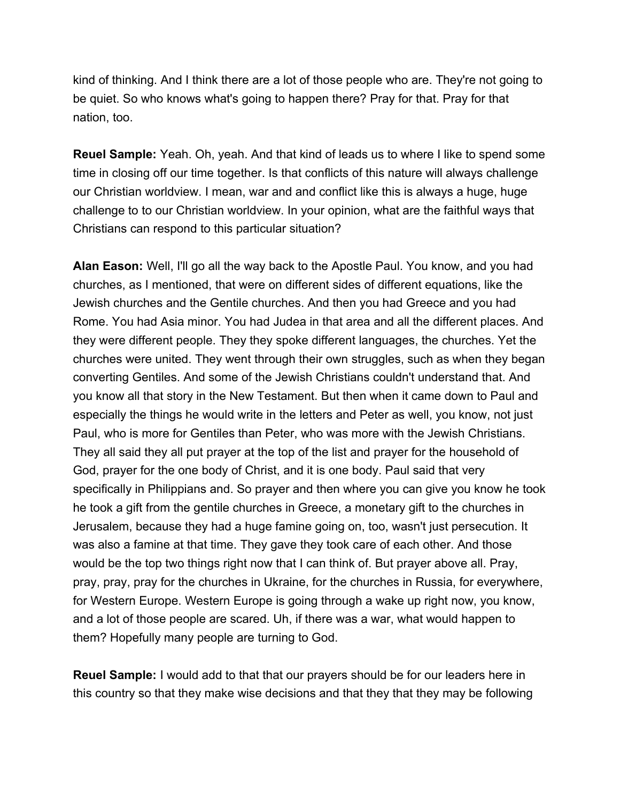kind of thinking. And I think there are a lot of those people who are. They're not going to be quiet. So who knows what's going to happen there? Pray for that. Pray for that nation, too.

**Reuel Sample:** Yeah. Oh, yeah. And that kind of leads us to where I like to spend some time in closing off our time together. Is that conflicts of this nature will always challenge our Christian worldview. I mean, war and and conflict like this is always a huge, huge challenge to to our Christian worldview. In your opinion, what are the faithful ways that Christians can respond to this particular situation?

**Alan Eason:** Well, I'll go all the way back to the Apostle Paul. You know, and you had churches, as I mentioned, that were on different sides of different equations, like the Jewish churches and the Gentile churches. And then you had Greece and you had Rome. You had Asia minor. You had Judea in that area and all the different places. And they were different people. They they spoke different languages, the churches. Yet the churches were united. They went through their own struggles, such as when they began converting Gentiles. And some of the Jewish Christians couldn't understand that. And you know all that story in the New Testament. But then when it came down to Paul and especially the things he would write in the letters and Peter as well, you know, not just Paul, who is more for Gentiles than Peter, who was more with the Jewish Christians. They all said they all put prayer at the top of the list and prayer for the household of God, prayer for the one body of Christ, and it is one body. Paul said that very specifically in Philippians and. So prayer and then where you can give you know he took he took a gift from the gentile churches in Greece, a monetary gift to the churches in Jerusalem, because they had a huge famine going on, too, wasn't just persecution. It was also a famine at that time. They gave they took care of each other. And those would be the top two things right now that I can think of. But prayer above all. Pray, pray, pray, pray for the churches in Ukraine, for the churches in Russia, for everywhere, for Western Europe. Western Europe is going through a wake up right now, you know, and a lot of those people are scared. Uh, if there was a war, what would happen to them? Hopefully many people are turning to God.

**Reuel Sample:** I would add to that that our prayers should be for our leaders here in this country so that they make wise decisions and that they that they may be following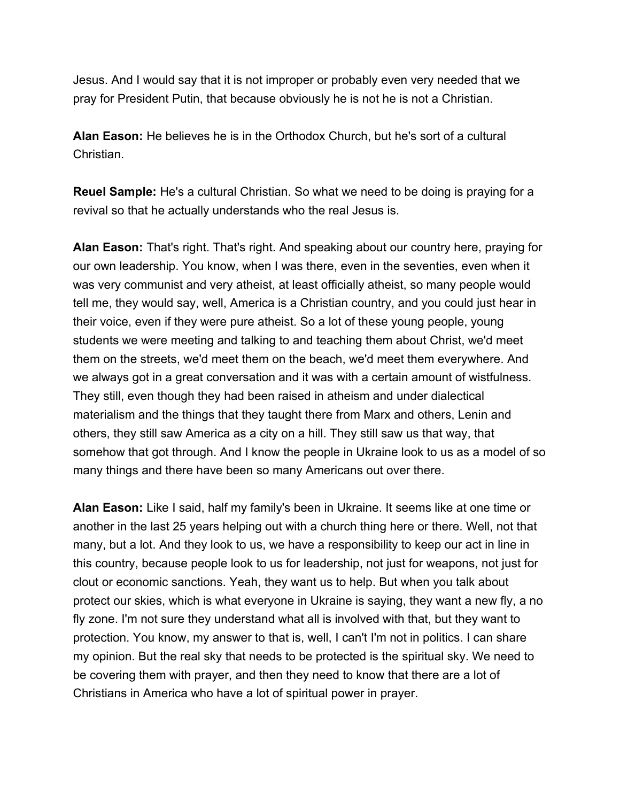Jesus. And I would say that it is not improper or probably even very needed that we pray for President Putin, that because obviously he is not he is not a Christian.

**Alan Eason:** He believes he is in the Orthodox Church, but he's sort of a cultural Christian.

**Reuel Sample:** He's a cultural Christian. So what we need to be doing is praying for a revival so that he actually understands who the real Jesus is.

**Alan Eason:** That's right. That's right. And speaking about our country here, praying for our own leadership. You know, when I was there, even in the seventies, even when it was very communist and very atheist, at least officially atheist, so many people would tell me, they would say, well, America is a Christian country, and you could just hear in their voice, even if they were pure atheist. So a lot of these young people, young students we were meeting and talking to and teaching them about Christ, we'd meet them on the streets, we'd meet them on the beach, we'd meet them everywhere. And we always got in a great conversation and it was with a certain amount of wistfulness. They still, even though they had been raised in atheism and under dialectical materialism and the things that they taught there from Marx and others, Lenin and others, they still saw America as a city on a hill. They still saw us that way, that somehow that got through. And I know the people in Ukraine look to us as a model of so many things and there have been so many Americans out over there.

**Alan Eason:** Like I said, half my family's been in Ukraine. It seems like at one time or another in the last 25 years helping out with a church thing here or there. Well, not that many, but a lot. And they look to us, we have a responsibility to keep our act in line in this country, because people look to us for leadership, not just for weapons, not just for clout or economic sanctions. Yeah, they want us to help. But when you talk about protect our skies, which is what everyone in Ukraine is saying, they want a new fly, a no fly zone. I'm not sure they understand what all is involved with that, but they want to protection. You know, my answer to that is, well, I can't I'm not in politics. I can share my opinion. But the real sky that needs to be protected is the spiritual sky. We need to be covering them with prayer, and then they need to know that there are a lot of Christians in America who have a lot of spiritual power in prayer.